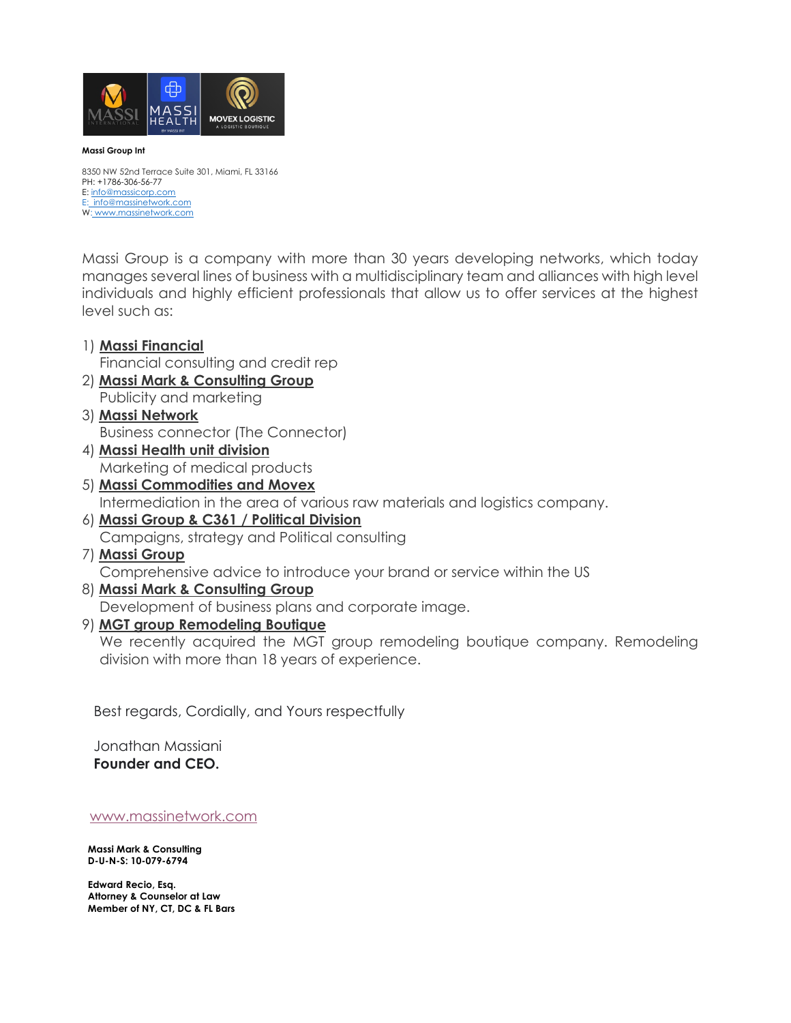

## **Massi Group Int**

8350 NW 52nd Terrace Suite 301, Miami, FL 33166 PH: +1786-306-56-77 E: info@massicorp.com E: info@massinetwork.com W: www.massinetwork.com

Massi Group is a company with more than 30 years developing networks, which today manages several lines of business with a multidisciplinary team and alliances with high level individuals and highly efficient professionals that allow us to offer services at the highest level such as:

- 1) **Massi Financial** Financial consulting and credit rep 2) **Massi Mark & Consulting Group** Publicity and marketing 3) **Massi Network** Business connector (The Connector) 4) **Massi Health unit division** Marketing of medical products
- 5) **Massi Commodities and Movex** Intermediation in the area of various raw materials and logistics company.
- 6) **Massi Group & C361 / Political Division** Campaigns, strategy and Political consulting
- 7) **Massi Group** Comprehensive advice to introduce your brand or service within the US
- 8) **Massi Mark & Consulting Group** Development of business plans and corporate image.
- 9) **MGT group Remodeling Boutique**

We recently acquired the MGT group remodeling boutique company. Remodeling division with more than 18 years of experience.

Best regards, Cordially, and Yours respectfully

Jonathan Massiani **Founder and CEO.**

www.massinetwork.com

**Massi Mark & Consulting D-U-N-S: 10-079-6794**

**Edward Recio, Esq. Attorney & Counselor at Law Member of NY, CT, DC & FL Bars**